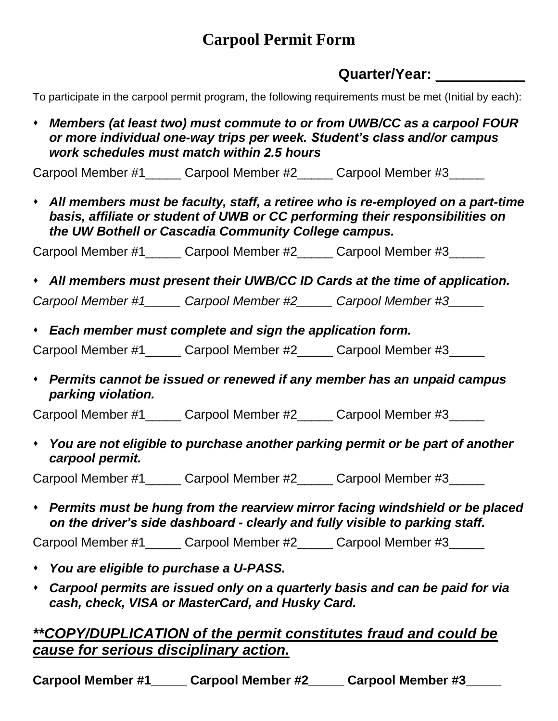## **Carpool Permit Form**

## **Quarter/Year: \_\_\_\_\_\_\_\_\_\_\_**

To participate in the carpool permit program, the following requirements must be met (Initial by each):

⬧ *Members (at least two) must commute to or from UWB/CC as a carpool FOUR or more individual one-way trips per week. Student's class and/or campus work schedules must match within 2.5 hours*

Carpool Member #1 Carpool Member #2 Carpool Member #3

⬧ *All members must be faculty, staff, a retiree who is re-employed on a part-time basis, affiliate or student of UWB or CC performing their responsibilities on the UW Bothell or Cascadia Community College campus.* 

Carpool Member #1\_\_\_\_\_ Carpool Member #2\_\_\_\_\_ Carpool Member #3\_\_\_\_\_

⬧ *All members must present their UWB/CC ID Cards at the time of application.*

*Carpool Member #1\_\_\_\_\_ Carpool Member #2\_\_\_\_\_ Carpool Member #3\_\_\_\_\_*

⬧ *Each member must complete and sign the application form.*

Carpool Member #1 Carpool Member #2 Carpool Member #3

⬧ *Permits cannot be issued or renewed if any member has an unpaid campus parking violation.*

Carpool Member #1 Carpool Member #2 Carpool Member #3

⬧ *You are not eligible to purchase another parking permit or be part of another carpool permit.*

Carpool Member #1 Carpool Member #2 Carpool Member #3

⬧ *Permits must be hung from the rearview mirror facing windshield or be placed on the driver's side dashboard - clearly and fully visible to parking staff.*

Carpool Member #1\_\_\_\_\_ Carpool Member #2\_\_\_\_\_ Carpool Member #3\_\_\_\_\_

- ⬧ *You are eligible to purchase a U-PASS.*
- ⬧ *Carpool permits are issued only on a quarterly basis and can be paid for via cash, check, VISA or MasterCard, and Husky Card.*

## *\*\*COPY/DUPLICATION of the permit constitutes fraud and could be cause for serious disciplinary action.*

Carpool Member #1 Carpool Member #2 Carpool Member #3